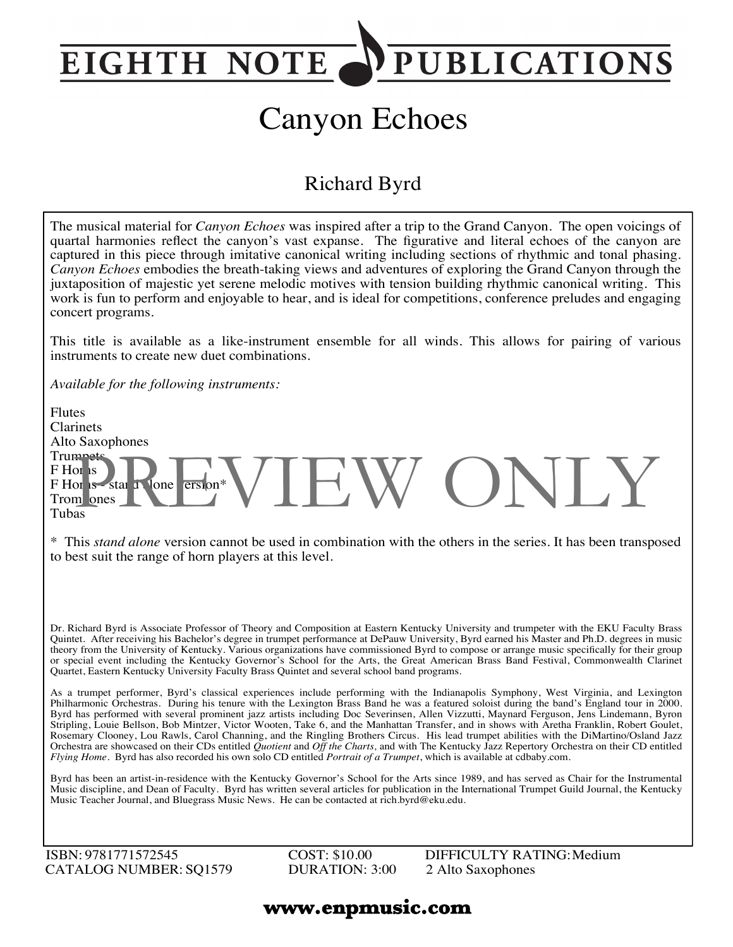## **PUBLICATIONS EIGHTH NOTE**

# Canyon Echoes

### Richard Byrd

The musical material for *Canyon Echoes* was inspired after a trip to the Grand Canyon. The open voicings of quartal harmonies reflect the canyon's vast expanse. The figurative and literal echoes of the canyon are captured in this piece through imitative canonical writing including sections of rhythmic and tonal phasing. *Canyon Echoes* embodies the breath-taking views and adventures of exploring the Grand Canyon through the juxtaposition of majestic yet serene melodic motives with tension building rhythmic canonical writing. This work is fun to perform and enjoyable to hear, and is ideal for competitions, conference preludes and engaging concert programs.

This title is available as a like-instrument ensemble for all winds. This allows for pairing of various instruments to create new duet combinations.

*Available for the following instruments:*

Flutes Clarinets Alto Saxophones **Trumpets** F Horns  $F$  Horns - star  $\overline{1}$  lone  $\overline{ersion}^*$ Trom ones Tubas or is a star Pione ersion\* VIEW ONLY

\* This *stand alone* version cannot be used in combination with the others in the series. It has been transposed to best suit the range of horn players at this level.

Dr. Richard Byrd is Associate Professor of Theory and Composition at Eastern Kentucky University and trumpeter with the EKU Faculty Brass Quintet. After receiving his Bachelor's degree in trumpet performance at DePauw University, Byrd earned his Master and Ph.D. degrees in music theory from the University of Kentucky. Various organizations have commissioned Byrd to compose or arrange music specifically for their group or special event including the Kentucky Governor's School for the Arts, the Great American Brass Band Festival, Commonwealth Clarinet Quartet, Eastern Kentucky University Faculty Brass Quintet and several school band programs.

As a trumpet performer, Byrd's classical experiences include performing with the Indianapolis Symphony, West Virginia, and Lexington Philharmonic Orchestras. During his tenure with the Lexington Brass Band he was a featured soloist during the band's England tour in 2000. Byrd has performed with several prominent jazz artists including Doc Severinsen, Allen Vizzutti, Maynard Ferguson, Jens Lindemann, Byron Stripling, Louie Bellson, Bob Mintzer, Victor Wooten, Take 6, and the Manhattan Transfer, and in shows with Aretha Franklin, Robert Goulet, Rosemary Clooney, Lou Rawls, Carol Channing, and the Ringling Brothers Circus. His lead trumpet abilities with the DiMartino/Osland Jazz Orchestra are showcased on their CDs entitled *Quotient* and *Off the Charts,* and with The Kentucky Jazz Repertory Orchestra on their CD entitled *Flying Home*. Byrd has also recorded his own solo CD entitled *Portrait of a Trumpet*, which is available at cdbaby.com.

Byrd has been an artist-in-residence with the Kentucky Governor's School for the Arts since 1989, and has served as Chair for the Instrumental Music discipline, and Dean of Faculty. Byrd has written several articles for publication in the International Trumpet Guild Journal, the Kentucky Music Teacher Journal, and Bluegrass Music News. He can be contacted at rich.byrd@eku.edu.

ISBN: 9781771572545 CATALOG NUMBER: SQ1579 COST: \$10.00 DURATION: 3:00 DIFFICULTY RATING:Medium 2 Alto Saxophones

#### **www.enpmusic.com**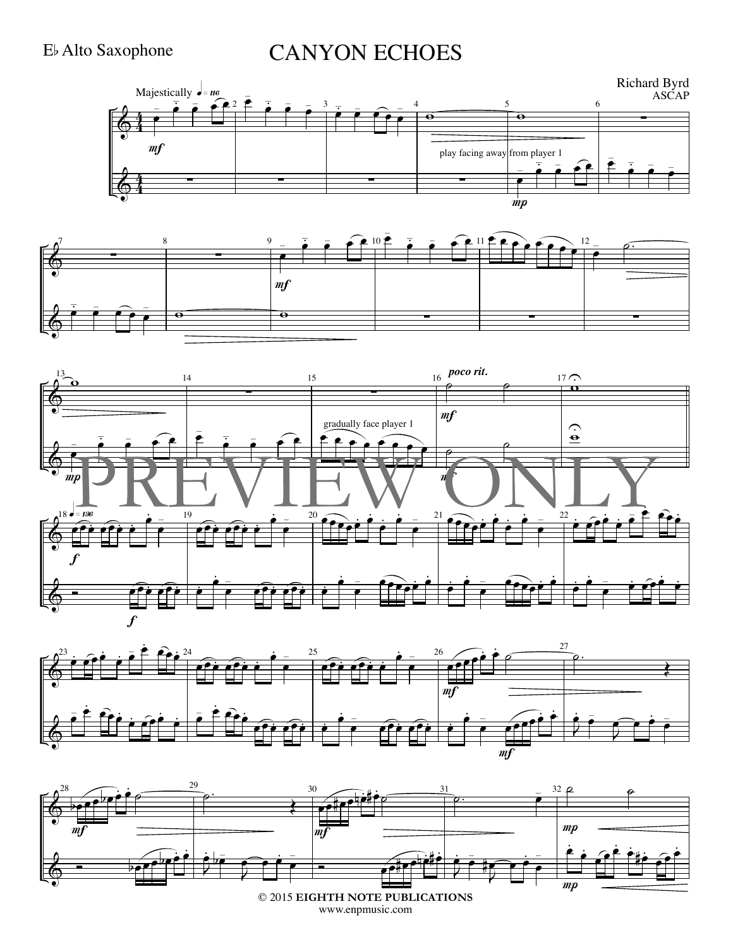#### E, Alto Saxophone

## **CANYON ECHOES**









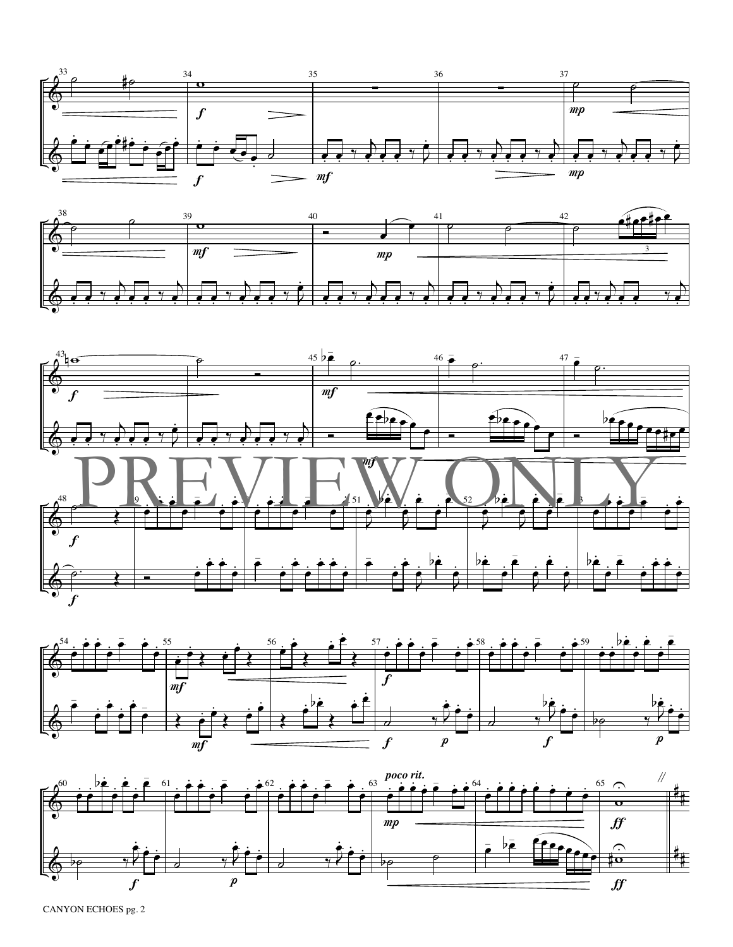









CANYON ECHOES pg. 2